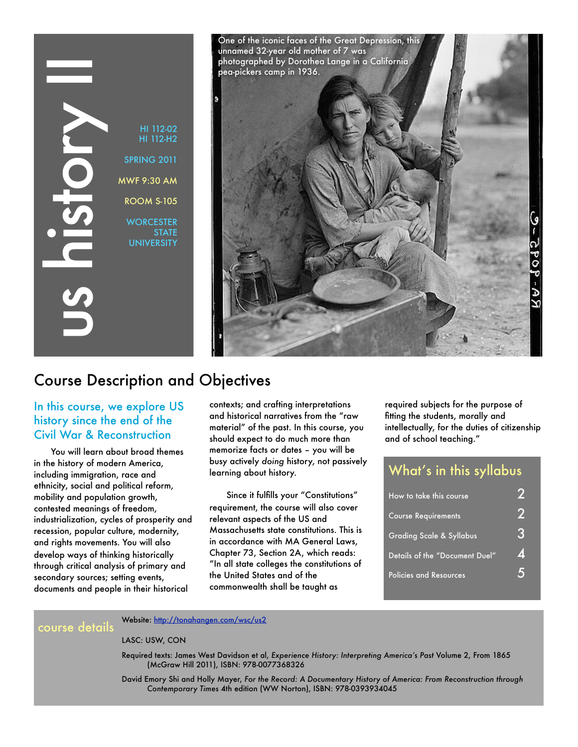HI 112-H2 SPRING 2011 MWF 9:30 AM ROOM S-105 **WORCESTER STATE UNIVERSITY** unnamed 32-year old mother of 7 was photographed by Dorothea Lange in a California pea-pickers camp in 1936.

One of the iconic faces of the Great Depression, this

## Course Description and Objectives

### In this course, we explore US history since the end of the Civil War & Reconstruction

HI 112-02<br>
HI 112-H2<br>
SFRING 2011<br>
MWF 9:30 AM<br>
ROOM S-105<br>
WORCESTER<br>
UNIVERSITY<br>
STATE<br>
UNIVERSITY<br>
STATE<br>
UNIVERSITY<br>
STATE<br>
UNIVERSITY<br>
STATE<br>
UNIVERSITY<br>
STATE<br>
UNIVERSITY<br>
STATE<br>
UNIVERSITY<br>
STATE<br>
UNIVERSITY<br>
STATE<br> You will learn about broad themes in the history of modern America, including immigration, race and ethnicity, social and political reform, mobility and population growth, contested meanings of freedom, industrialization, cycles of prosperity and recession, popular culture, modernity, and rights movements. You will also develop ways of thinking historically through critical analysis of primary and secondary sources; setting events, documents and people in their historical

contexts; and crafting interpretations and historical narratives from the "raw material" of the past. In this course, you should expect to do much more than memorize facts or dates – you will be busy actively *doing* history, not passively learning about history.

Since it fulfills your "Constitutions" requirement, the course will also cover relevant aspects of the US and Massachusetts state constitutions. This is in accordance with MA General Laws, Chapter 73, Section 2A, which reads: "In all state colleges the constitutions of the United States and of the commonwealth shall be taught as

required subjects for the purpose of fitting the students, morally and intellectually, for the duties of citizenship and of school teaching."

## What's in this syllabus

| How to take this course             |                 |
|-------------------------------------|-----------------|
| <b>Course Requirements</b>          |                 |
| <b>Grading Scale &amp; Syllabus</b> | 3               |
| Details of the "Document Duel"      | 4               |
| <b>Policies and Resources</b>       | $\blacklozenge$ |

Website:<http://tonahangen.com/wsc/us2>

LASC: USW, CON

Required texts: James West Davidson et al, *Experience History: Interpreting America's Past* Volume 2, From 1865 (McGraw Hill 2011), ISBN: 978-0077368326

David Emory Shi and Holly Mayer, *For the Record: A Documentary History of America: From Reconstruction through Contemporary Times* 4th edition (WW Norton), ISBN: 978-0393934045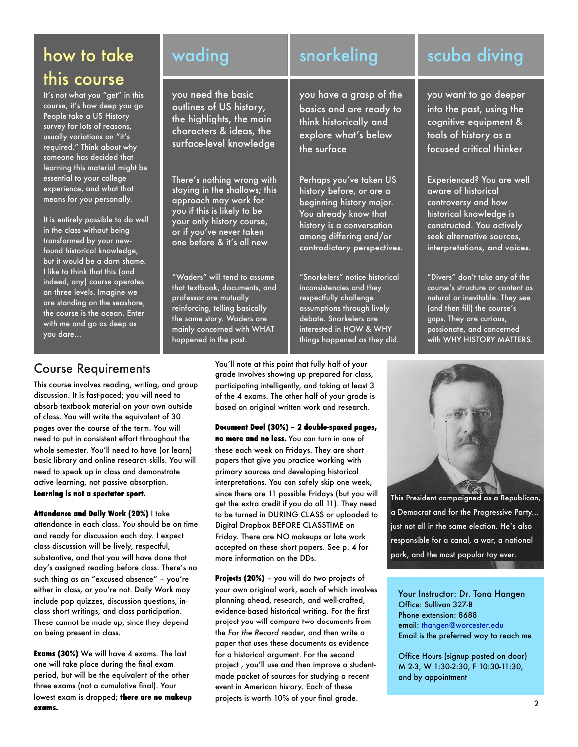# how to take this course

It's not what you "get" in this course, it's how deep you go. People take a US History survey for lots of reasons, usually variations on "it's required." Think about why someone has decided that learning this material might be essential to your college experience, and what that means for you personally.

It is entirely possible to do well in the class without being transformed by your newfound historical knowledge, but it would be a darn shame. I like to think that this (and indeed, any) course operates on three levels. Imagine we are standing on the seashore; the course is the ocean. Enter with me and go as deep as you dare...

you need the basic outlines of US history, the highlights, the main characters & ideas, the surface-level knowledge

There's nothing wrong with staying in the shallows; this approach may work for you if this is likely to be your only history course, or if you've never taken one before & it's all new

"Waders" will tend to assume that textbook, documents, and professor are mutually reinforcing, telling basically the same story. Waders are mainly concerned with WHAT happened in the past.

# wading snorkeling scuba diving

you have a grasp of the basics and are ready to think historically and explore what's below the surface

Perhaps you've taken US history before, or are a beginning history major. You already know that history is a conversation among differing and/or contradictory perspectives.

"Snorkelers" notice historical inconsistencies and they respectfully challenge assumptions through lively debate. Snorkelers are interested in HOW & WHY things happened as they did.

you want to go deeper into the past, using the cognitive equipment & tools of history as a focused critical thinker

Experienced? You are well aware of historical controversy and how historical knowledge is constructed. You actively seek alternative sources, interpretations, and voices.

"Divers" don't take any of the course's structure or content as natural or inevitable. They see (and then fill) the course's gaps. They are curious, passionate, and concerned with WHY HISTORY MATTERS.

## Course Requirements

This course involves reading, writing, and group discussion. It is fast-paced; you will need to absorb textbook material on your own outside of class. You will write the equivalent of 30 pages over the course of the term. You will need to put in consistent effort throughout the whole semester. You'll need to have (or learn) basic library and online research skills. You will need to speak up in class and demonstrate active learning, not passive absorption. **Learning is not a spectator sport.**

**Attendance and Daily Work (20%)** I take attendance in each class. You should be on time and ready for discussion each day. I expect class discussion will be lively, respectful, substantive, and that you will have done that day's assigned reading before class. There's no such thing as an "excused absence" – you're either in class, or you're not. Daily Work may include pop quizzes, discussion questions, inclass short writings, and class participation. These cannot be made up, since they depend on being present in class.

**Exams (30%)** We will have 4 exams. The last one will take place during the final exam period, but will be the equivalent of the other three exams (not a cumulative final). Your lowest exam is dropped; **there are no makeup exams.**

You'll note at this point that fully half of your grade involves showing up prepared for class, participating intelligently, and taking at least 3 of the 4 exams. The other half of your grade is based on original written work and research.

**Document Duel (30%) – 2 double-spaced pages, no more and no less.** You can turn in one of these each week on Fridays. They are short papers that give you practice working with primary sources and developing historical interpretations. You can safely skip one week, since there are 11 possible Fridays (but you will get the extra credit if you do all 11). They need to be turned in DURING CLASS or uploaded to Digital Dropbox BEFORE CLASSTIME on Friday. There are NO makeups or late work accepted on these short papers. See p. 4 for more information on the DDs.

**Projects (20%)** – you will do two projects of your own original work, each of which involves planning ahead, research, and well-crafted, evidence-based historical writing. For the first project you will compare two documents from the *For the Record* reader, and then write a paper that uses these documents as evidence for a historical argument. For the second project , you'll use and then improve a studentmade packet of sources for studying a recent event in American history. Each of these projects is worth 10% of your final grade.



This President campaigned as a Republican, a Democrat and for the Progressive Party... just not all in the same election. He's also responsible for a canal, a war, a national park, and the most popular toy ever.

Your Instructor: Dr. Tona Hangen Office: Sullivan 327-B Phone extension: 8688 email: [thangen@worcester.edu](mailto:thangen@worcester.edu) Email is the preferred way to reach me

Office Hours (signup posted on door) M 2-3, W 1:30-2:30, F 10:30-11:30, and by appointment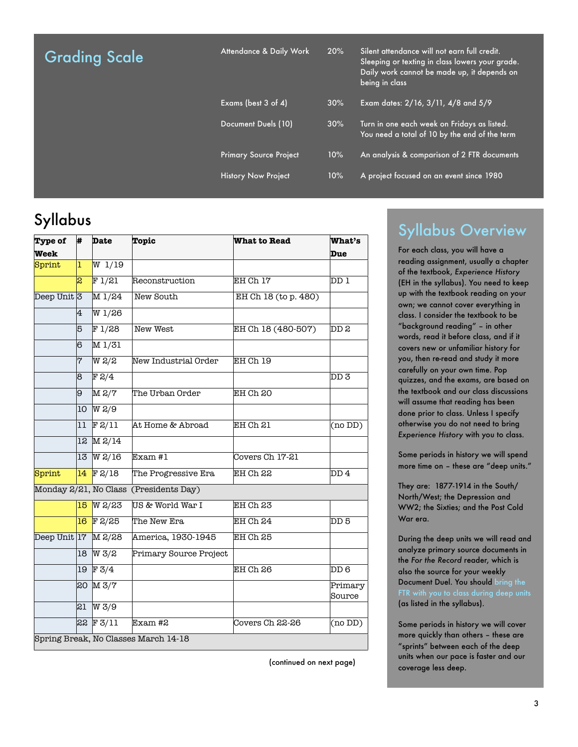| <b>Grading Scale</b> |  |
|----------------------|--|
|----------------------|--|

Attendance & Daily Work 20%

|                               |     | Daily work cannot be made up, it depends on<br>being in class                                |
|-------------------------------|-----|----------------------------------------------------------------------------------------------|
| Exams (best 3 of 4)           | 30% | Exam dates: 2/16, 3/11, 4/8 and 5/9                                                          |
| Document Duels (10)           | 30% | Turn in one each week on Fridays as listed.<br>You need a total of 10 by the end of the term |
| <b>Primary Source Project</b> | 10% | An analysis & comparison of 2 FTR documents                                                  |
| <b>History Now Project</b>    | 10% | A project focused on an event since 1980                                                     |

# Syllabus

| Type of                | #               | <b>Date</b>        | <b>Topic</b>                         | <b>What to Read</b>  | <b>What's</b>     |
|------------------------|-----------------|--------------------|--------------------------------------|----------------------|-------------------|
| <b>Week</b>            |                 |                    |                                      |                      | Due               |
| Sprint                 | 1               | W <sub>1/19</sub>  |                                      |                      |                   |
|                        | 2               | F1/21              | Reconstruction                       | EH Ch 17             | DD 1              |
| Deep Unit <sup>3</sup> |                 | M 1/24             | New South                            | EH Ch 18 (to p. 480) |                   |
|                        | 4               | W1/26              |                                      |                      |                   |
|                        | 5               | F1/28              | New West                             | EH Ch 18 (480-507)   | DD 2              |
|                        | 16              | M1/31              |                                      |                      |                   |
|                        | 7               | $M S\$             | New Industrial Order                 | EH Ch 19             |                   |
|                        | 8               | F2/4               |                                      |                      | DD 3              |
|                        | 9l              | $\overline{M}$ 2/7 | The Urban Order                      | EH Ch 20             |                   |
|                        | 10              | $W$ 2/9            |                                      |                      |                   |
|                        | 11              | F2/11              | At Home & Abroad                     | EH Ch 21             | (no DD)           |
|                        | 12              | $M$ 2/14           |                                      |                      |                   |
|                        | 13              | $W$ 2/16           | Exam#1                               | Covers Ch 17-21      |                   |
| Sprint                 |                 | $14$ F 2/18        | The Progressive Era                  | EH Ch 22             | DD 4              |
| Monday 2/21, No Class  |                 |                    | (Presidents Day)                     |                      |                   |
|                        | 15.             | $W$ 2/23           | US & World War I                     | EH Ch 23             |                   |
|                        | 16 <sup>°</sup> | $F$ 2/25           | The New Era                          | EH Ch 24             | DD 5              |
| Deep Unit 17           |                 | $M$ 2/28           | America, 1930-1945                   | EH Ch 25             |                   |
|                        | 18              | W3/2               | Primary Source Project               |                      |                   |
|                        | 19              | F3/4               |                                      | EH Ch 26             | DD6               |
|                        |                 | 20 M 3/7           |                                      |                      | Primary<br>Source |
|                        | 21              | W 3/9              |                                      |                      |                   |
|                        | 23              | F3/11              | Exam #2                              | Covers Ch 22-26      | (no DD)           |
|                        |                 |                    | Spring Break, No Classes March 14-18 |                      |                   |

(continued on next page)

## Syllabus Overview

Silent attendance will not earn full credit. Sleeping or texting in class lowers your grade.

> For each class, you will have a reading assignment, usually a chapter of the textbook, *Experience History*  (EH in the syllabus). You need to keep up with the textbook reading on your own; we cannot cover everything in class. I consider the textbook to be "background reading" – in other words, read it before class, and if it covers new or unfamiliar history for you, then re-read and study it more carefully on your own time. Pop quizzes, and the exams, are based on the textbook and our class discussions will assume that reading has been done prior to class. Unless I specify otherwise you do not need to bring *Experience History* with you to class.

> Some periods in history we will spend more time on – these are "deep units."

They are: 1877-1914 in the South/ North/West; the Depression and WW2; the Sixties; and the Post Cold War era.

During the deep units we will read and analyze primary source documents in the *For the Record* reader, which is also the source for your weekly Document Duel. You should bring the (as listed in the syllabus).

Some periods in history we will cover more quickly than others – these are "sprints" between each of the deep units when our pace is faster and our coverage less deep.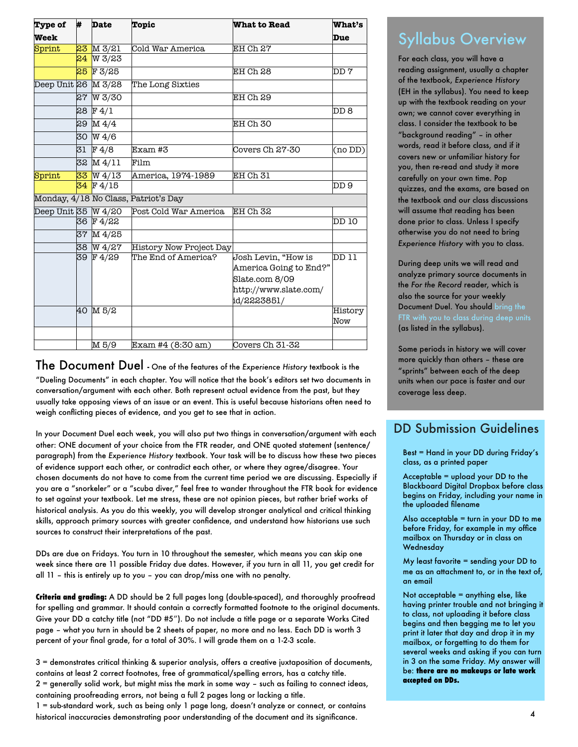| Type of             | #  | <b>Date</b>         | <b>Topic</b>                         | <b>What to Read</b>    | <b>What's</b>            |
|---------------------|----|---------------------|--------------------------------------|------------------------|--------------------------|
| Week                |    |                     |                                      |                        | Due                      |
| Sprint              |    | 23 M 3/21           | Cold War America                     | EH Ch 27               |                          |
|                     | 24 | W 3/23              |                                      |                        |                          |
|                     | 25 | FZ/25               |                                      | EH Ch 28               | 7 ממ                     |
| Deep Unit 26 M 3/28 |    |                     | The Long Sixties                     |                        |                          |
|                     | 27 | W 3/30              |                                      | EH Ch 29               |                          |
|                     |    | 28F4/1              |                                      |                        | DD 8                     |
|                     |    | $29 \text{ M } 4/4$ |                                      | EH Ch 30               |                          |
|                     |    | 30 W 4/6            |                                      |                        |                          |
|                     |    | 31 F 4/8            | Exam #3                              | Covers Ch 27-30        | (no DD)                  |
|                     |    | 32 M 4/11           | Film                                 |                        |                          |
| Sprint              |    | $33$ W 4/13         | America, 1974-1989                   | EH Ch 31               |                          |
|                     |    | 34 F 4/15           |                                      |                        | DD 9                     |
|                     |    |                     | Monday, 4/18 No Class, Patriot's Day |                        |                          |
| Deep Unit 35 W 4/20 |    |                     | Post Cold War America                | EH Ch 32               |                          |
|                     |    | 36 F 4/22           |                                      |                        | DD 10                    |
|                     |    | 37 M 4/25           |                                      |                        |                          |
|                     |    | 38 W 4/27           | History Now Project Day              |                        |                          |
|                     |    | 39 F 4/29           | The End of America?                  | Josh Levin, "How is    | $\overline{\text{DD}11}$ |
|                     |    |                     |                                      | America Going to End?" |                          |
|                     |    |                     |                                      | Slate.com 8/09         |                          |
|                     |    |                     |                                      | http://www.slate.com/  |                          |
|                     |    |                     |                                      | id/2223851/            |                          |
|                     | 40 | M 5/2               |                                      |                        | <b>History</b>           |
|                     |    |                     |                                      |                        | Now                      |
|                     |    |                     |                                      |                        |                          |
|                     |    | M 5/9               | Exam #4 (8:30 am)                    | Covers Ch 31-32        |                          |

The Document Duel **-** One of the features of the *Experience History* textbook is the "Dueling Documents" in each chapter. You will notice that the book's editors set two documents in conversation/argument with each other. Both represent actual evidence from the past, but they usually take opposing views of an issue or an event. This is useful because historians often need to weigh conflicting pieces of evidence, and you get to see that in action.

In your Document Duel each week, you will also put two things in conversation/argument with each other: ONE document of your choice from the FTR reader, and ONE quoted statement (sentence/ paragraph) from the *Experience History* textbook. Your task will be to discuss how these two pieces of evidence support each other, or contradict each other, or where they agree/disagree. Your chosen documents do not have to come from the current time period we are discussing. Especially if you are a "snorkeler" or a "scuba diver," feel free to wander throughout the FTR book for evidence to set against your textbook. Let me stress, these are not opinion pieces, but rather brief works of historical analysis. As you do this weekly, you will develop stronger analytical and critical thinking skills, approach primary sources with greater confidence, and understand how historians use such sources to construct their interpretations of the past.

DDs are due on Fridays. You turn in 10 throughout the semester, which means you can skip one week since there are 11 possible Friday due dates. However, if you turn in all 11, you get credit for all 11 – this is entirely up to you – you can drop/miss one with no penalty.

**Criteria and grading:** A DD should be 2 full pages long (double-spaced), and thoroughly proofread for spelling and grammar. It should contain a correctly formatted footnote to the original documents. Give your DD a catchy title (not "DD #5″). Do not include a title page or a separate Works Cited page – what you turn in should be 2 sheets of paper, no more and no less. Each DD is worth 3 percent of your final grade, for a total of 30%. I will grade them on a 1-2-3 scale.

3 = demonstrates critical thinking & superior analysis, offers a creative juxtaposition of documents, contains at least 2 correct footnotes, free of grammatical/spelling errors, has a catchy title. 2 = generally solid work, but might miss the mark in some way – such as failing to connect ideas, containing proofreading errors, not being a full 2 pages long or lacking a title.

1 = sub-standard work, such as being only 1 page long, doesn't analyze or connect, or contains historical inaccuracies demonstrating poor understanding of the document and its significance.

## Syllabus Overview

For each class, you will have a reading assignment, usually a chapter of the textbook, *Experience History*  (EH in the syllabus). You need to keep up with the textbook reading on your own; we cannot cover everything in class. I consider the textbook to be "background reading" – in other words, read it before class, and if it covers new or unfamiliar history for you, then re-read and study it more carefully on your own time. Pop quizzes, and the exams, are based on the textbook and our class discussions will assume that reading has been done prior to class. Unless I specify otherwise you do not need to bring *Experience History* with you to class.

During deep units we will read and analyze primary source documents in the *For the Record* reader, which is also the source for your weekly Document Duel. You should bring the (as listed in the syllabus).

Some periods in history we will cover more quickly than others – these are "sprints" between each of the deep units when our pace is faster and our coverage less deep.

### DD Submission Guidelines

Best = Hand in your DD during Friday's class, as a printed paper

Acceptable = upload your DD to the Blackboard Digital Dropbox before class begins on Friday, including your name in the uploaded filename

Also acceptable = turn in your DD to me before Friday, for example in my office mailbox on Thursday or in class on Wednesday

My least favorite = sending your DD to me as an attachment to, or in the text of, an email

Not acceptable = anything else, like having printer trouble and not bringing it to class, not uploading it before class begins and then begging me to let you print it later that day and drop it in my mailbox, or forgetting to do them for several weeks and asking if you can turn in 3 on the same Friday. My answer will be: **there are no makeups or late work accepted on DDs.**